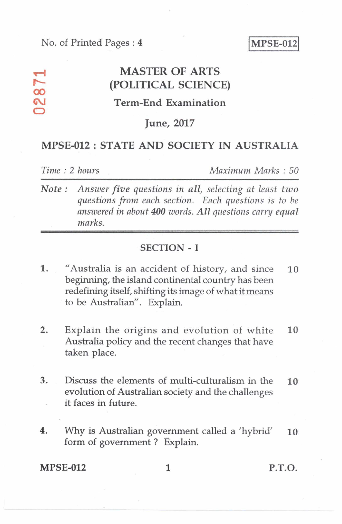No. of Printed Pages : 4 MPSE-012

## **v--4 MASTER OF ARTS (POLITICAL SCIENCE)**

## **Term-End Examination**

#### **June, 2017**

## **MPSE-012 : STATE AND SOCIETY IN AUSTRALIA**

**00** 

**0** 

*Time : 2 hours Maximum Marks : 50* 

*Note : Answer five questions in all, selecting at least two questions from each section. Each questions is to be answered in about 400 words. All questions carry equal marks.* 

## **SECTION — I**

- 1. "Australia is an accident of history, and since **10**  beginning, the island continental country has been redefining itself, shifting its image of what it means to be Australian". Explain.
- 2. Explain the origins and evolution of white **10**  Australia policy and the recent changes that have taken place.
- 3. Discuss the elements of multi-culturalism in the **10**  evolution of Australian society and the challenges it faces in future.
- 4. Why is Australian government called a 'hybrid' **10**  form of government ? Explain.

#### **MPSE-012** 1 P.T.O.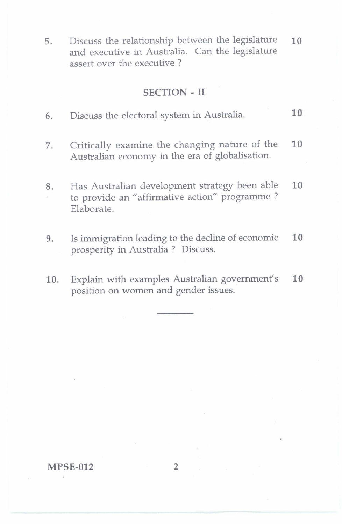5. Discuss the relationship between the legislature 10 and executive in Australia. Can the legislature assert over the executive ?

## SECTION-II

- 6. Discuss the electoral system in Australia. 10
- 7. Critically examine the changing nature of the 10 Australian economy in the era of globalisation.
- 8. Has Australian development strategy been able 10 to provide an "affirmative action" programme ? Elaborate.
- 9. Is immigration leading to the decline of economic 10 prosperity in Australia ? Discuss.
- 10. Explain with examples Australian government's 10 position on women and gender issues.

#### MPSE-012 2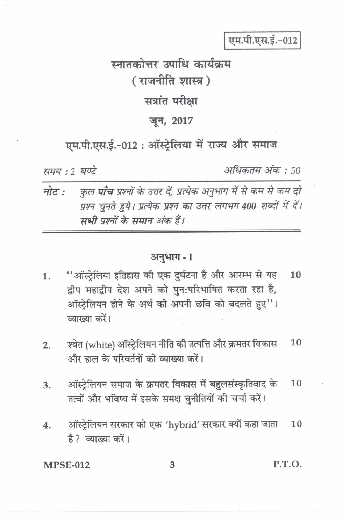एम.पी.एस.ई.-012

# म्नातकोत्तर उपाधि कार्यकम (राजनीति शास्त्र) सत्रांत परीक्षा जून, 2017

# एम.पी.एस.ई.-012: ऑस्ट्रेलिया में राज्य और समाज

समय: २ घण्टे

अधिकतम अंक : 50

कुल **पाँच** प्रश्नों के उत्तर दें, प्रत्येक अनुभाग में से कम से कम दो नोट : प्रश्न चनते हुये। प्रत्येक प्रश्न का उत्तर लगभग 400 शब्दों में दें। सभी पश्नों के समान अंक हैं।

### अनुभाग-I

- "ऑस्टेलिया इतिहास की एक दुर्घटना है और आरम्भ से यह 10 1. द्वीप महाद्वीप देश अपने को पुन:परिभाषित करता रहा है, ऑस्ट्रेलियन होने के अर्थ की अपनी छवि को बदलते हुए"। व्याख्या करें।
- श्वेत (white) ऑस्ट्रेलियन नीति की उत्पत्ति और क्रमतर विकास  $10$  $2.$ और हाल के परिवर्तनों की व्याख्या करें।
- ऑस्ट्रेलियन समाज के क्रमतर विकास में बहुलसंस्कृतिवाद के 10 3. तत्वों और भविष्य में इसके समक्ष चुनौतियों की चर्चा करें।
- ऑस्ट्रेलियन सरकार को एक 'hybrid' सरकार क्यों कहा जाता  $\overline{4}$ . 10 है? व्याख्या करें।

**MPSE-012** 

P.T.O.

3